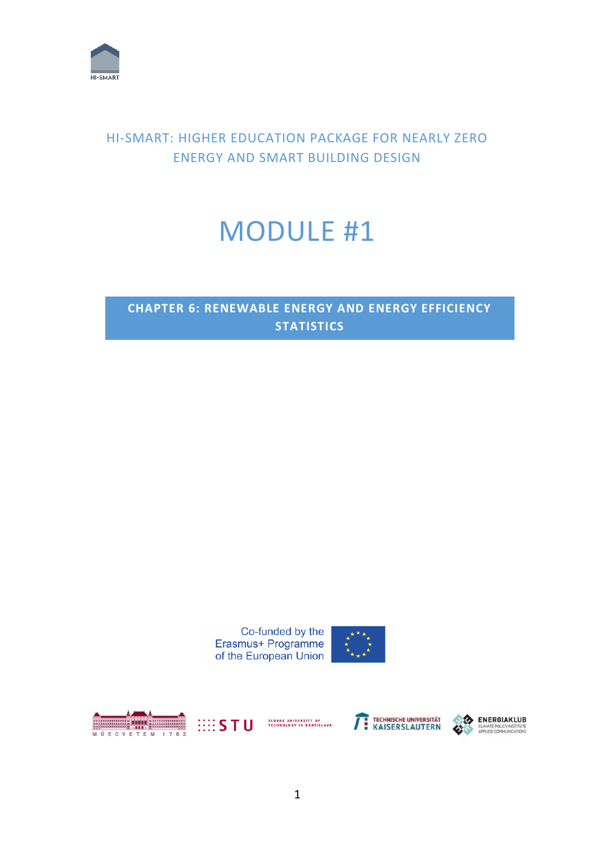

# HI-SMART: HIGHER EDUCATION PACKAGE FOR NEARLY ZERO ENERGY AND SMART BUILDING DESIGN

# MODULE #1

# **CHAPTER 6: RENEWABLE ENERGY AND ENERGY EFFICIENCY STATISTICS**









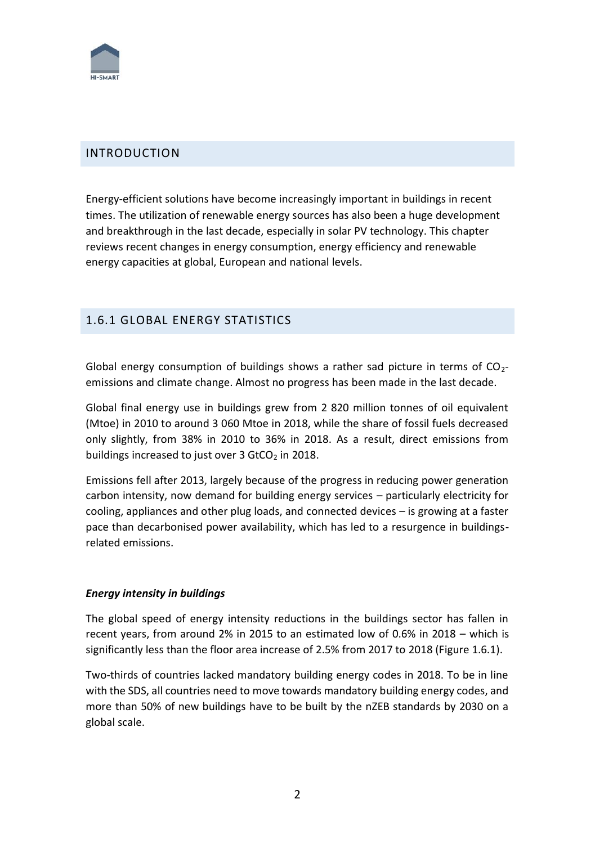

# INTRODUCTION

Energy-efficient solutions have become increasingly important in buildings in recent times. The utilization of renewable energy sources has also been a huge development and breakthrough in the last decade, especially in solar PV technology. This chapter reviews recent changes in energy consumption, energy efficiency and renewable energy capacities at global, European and national levels.

# 1.6.1 GLOBAL ENERGY STATISTICS

Global energy consumption of buildings shows a rather sad picture in terms of  $CO<sub>2</sub>$ emissions and climate change. Almost no progress has been made in the last decade.

Global final energy use in buildings grew from 2 820 million tonnes of oil equivalent (Mtoe) in 2010 to around 3 060 Mtoe in 2018, while the share of fossil fuels decreased only slightly, from 38% in 2010 to 36% in 2018. As a result, direct emissions from buildings increased to just over  $3$  GtCO<sub>2</sub> in 2018.

Emissions fell after 2013, largely because of the progress in reducing power generation carbon intensity, now demand for building energy services – particularly electricity for cooling, appliances and other plug loads, and connected devices – is growing at a faster pace than decarbonised power availability, which has led to a resurgence in buildingsrelated emissions.

# *Energy intensity in buildings*

The global speed of energy intensity reductions in the buildings sector has fallen in recent years, from around 2% in 2015 to an estimated low of 0.6% in 2018 – which is significantly less than the floor area increase of 2.5% from 2017 to 2018 (Figure 1.6.1).

Two-thirds of countries lacked mandatory building energy codes in 2018. To be in line with the SDS, all countries need to move towards mandatory building energy codes, and more than 50% of new buildings have to be built by the nZEB standards by 2030 on a global scale.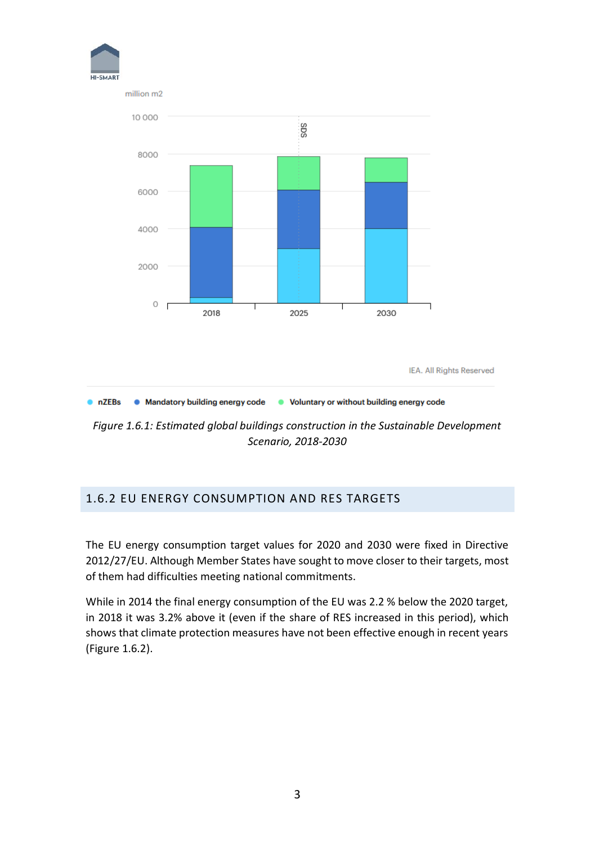

*Figure 1.6.1: Estimated global buildings construction in the Sustainable Development Scenario, 2018-2030*

# 1.6.2 EU ENERGY CONSUMPTION AND RES TARGETS

The EU energy consumption target values for 2020 and 2030 were fixed in Directive 2012/27/EU. Although Member States have sought to move closer to their targets, most of them had difficulties meeting national commitments.

While in 2014 the final energy consumption of the EU was 2.2 % below the 2020 target, in 2018 it was 3.2% above it (even if the share of RES increased in this period), which shows that climate protection measures have not been effective enough in recent years (Figure 1.6.2).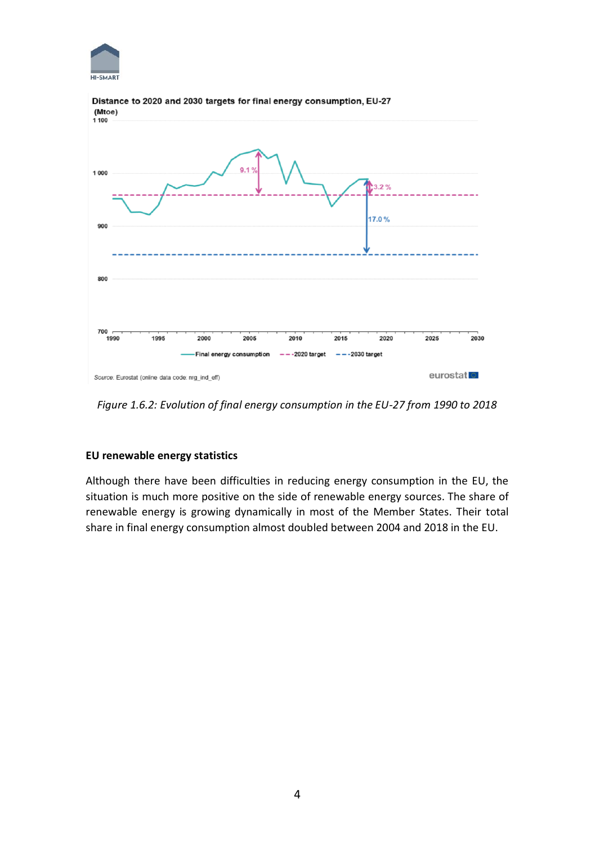



#### Distance to 2020 and 2030 targets for final energy consumption, EU-27 (Mtoe)

*Figure 1.6.2: Evolution of final energy consumption in the EU-27 from 1990 to 2018*

# **EU renewable energy statistics**

Although there have been difficulties in reducing energy consumption in the EU, the situation is much more positive on the side of renewable energy sources. The share of renewable energy is growing dynamically in most of the Member States. Their total share in final energy consumption almost doubled between 2004 and 2018 in the EU.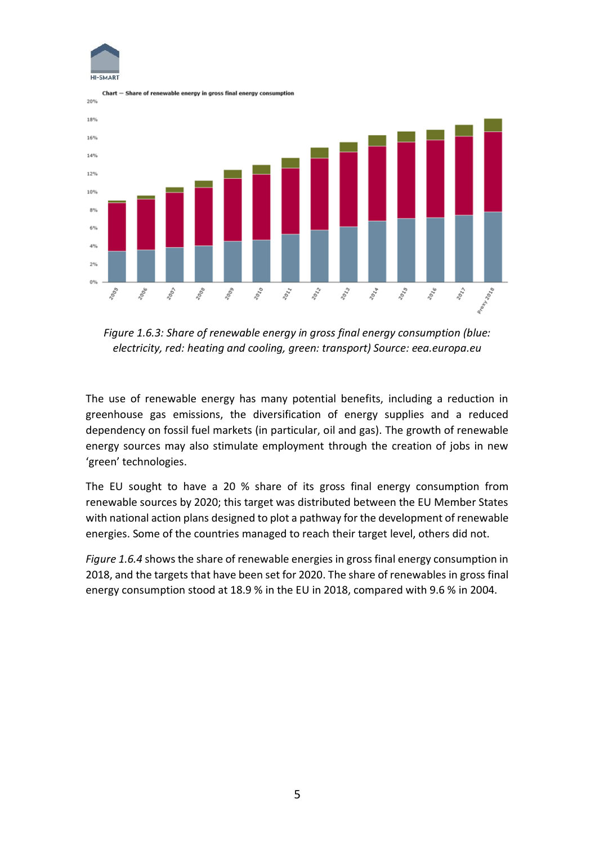



*Figure 1.6.3: Share of renewable energy in gross final energy consumption (blue: electricity, red: heating and cooling, green: transport) Source: eea.europa.eu*

The use of renewable energy has many potential benefits, including a reduction in greenhouse gas emissions, the diversification of energy supplies and a reduced dependency on fossil fuel markets (in particular, oil and gas). The growth of renewable energy sources may also stimulate employment through the creation of jobs in new 'green' technologies.

The EU sought to have a 20 % share of its gross final energy consumption from renewable sources by 2020; this target was distributed between the EU Member States with national action plans designed to plot a pathway for the development of renewable energies. Some of the countries managed to reach their target level, others did not.

*Figure 1.6.4* shows the share of renewable energies in gross final energy consumption in 2018, and the targets that have been set for 2020. The share of renewables in gross final energy consumption stood at 18.9 % in the EU in 2018, compared with 9.6 % in 2004.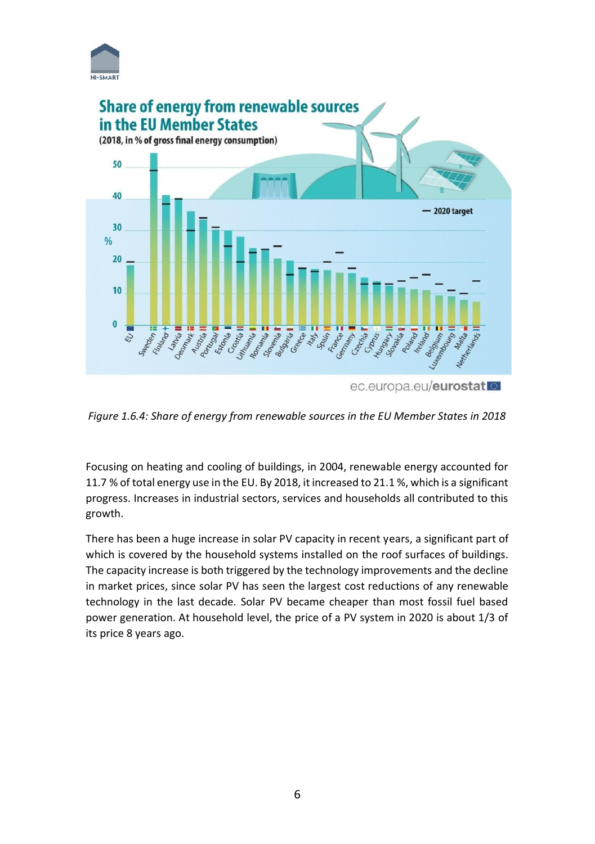



*Figure 1.6.4: Share of energy from renewable sources in the EU Member States in 2018*

Focusing on heating and cooling of buildings, in 2004, renewable energy accounted for 11.7 % of total energy use in the EU. By 2018, it increased to 21.1 %, which is a significant progress. Increases in industrial sectors, services and households all contributed to this growth.

There has been a huge increase in solar PV capacity in recent years, a significant part of which is covered by the household systems installed on the roof surfaces of buildings. The capacity increase is both triggered by the technology improvements and the decline in market prices, since solar PV has seen the largest cost reductions of any renewable technology in the last decade. Solar PV became cheaper than most fossil fuel based power generation. At household level, the price of a PV system in 2020 is about 1/3 of its price 8 years ago.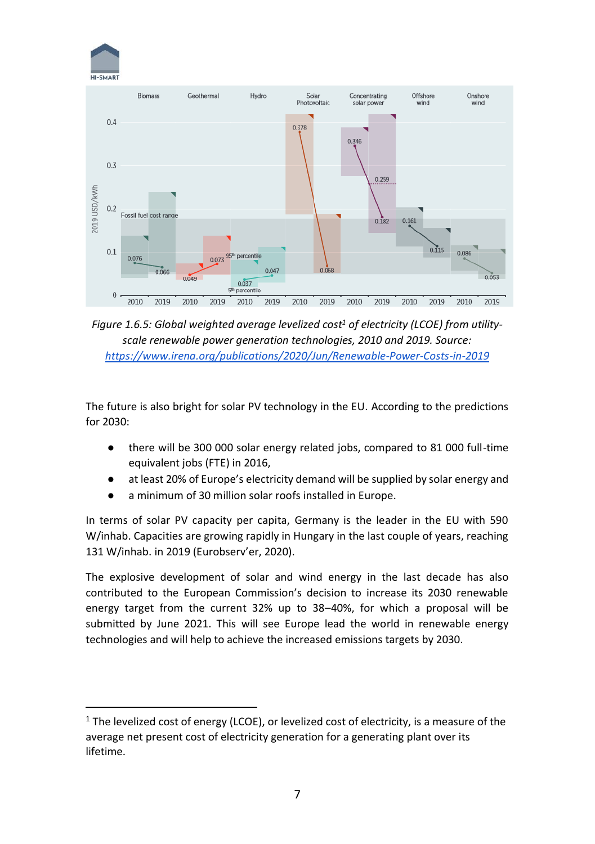



*Figure 1.6.5: Global weighted average levelized cost<sup>1</sup> of electricity (LCOE) from utilityscale renewable power generation technologies, 2010 and 2019. Source: <https://www.irena.org/publications/2020/Jun/Renewable-Power-Costs-in-2019>*

The future is also bright for solar PV technology in the EU. According to the predictions for 2030:

- there will be 300 000 solar energy related jobs, compared to 81 000 full-time equivalent jobs (FTE) in 2016,
- at least 20% of Europe's electricity demand will be supplied by solar energy and
- a minimum of 30 million solar roofs installed in Europe.

In terms of solar PV capacity per capita, Germany is the leader in the EU with 590 W/inhab. Capacities are growing rapidly in Hungary in the last couple of years, reaching 131 W/inhab. in 2019 (Eurobserv'er, 2020).

The explosive development of solar and wind energy in the last decade has also contributed to the European Commission's decision to increase its 2030 renewable energy target from the current 32% up to 38–40%, for which a proposal will be submitted by June 2021. This will see Europe lead the world in renewable energy technologies and will help to achieve the increased emissions targets by 2030.

 $1$  The levelized cost of energy (LCOE), or levelized cost of electricity, is a measure of the average net present cost of electricity generation for a generating plant over its lifetime.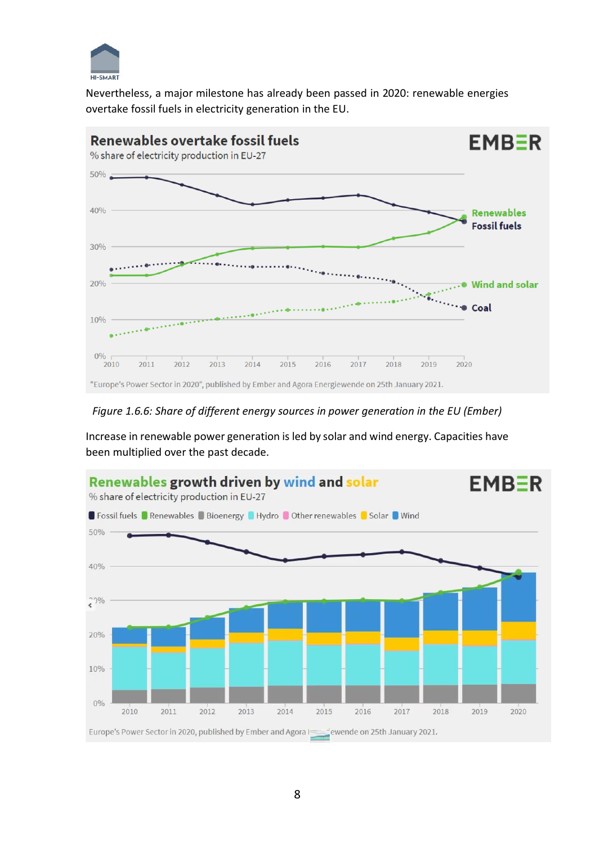

Nevertheless, a major milestone has already been passed in 2020: renewable energies overtake fossil fuels in electricity generation in the EU.



### *Figure 1.6.6: Share of different energy sources in power generation in the EU (Ember)*

Increase in renewable power generation is led by solar and wind energy. Capacities have been multiplied over the past decade.

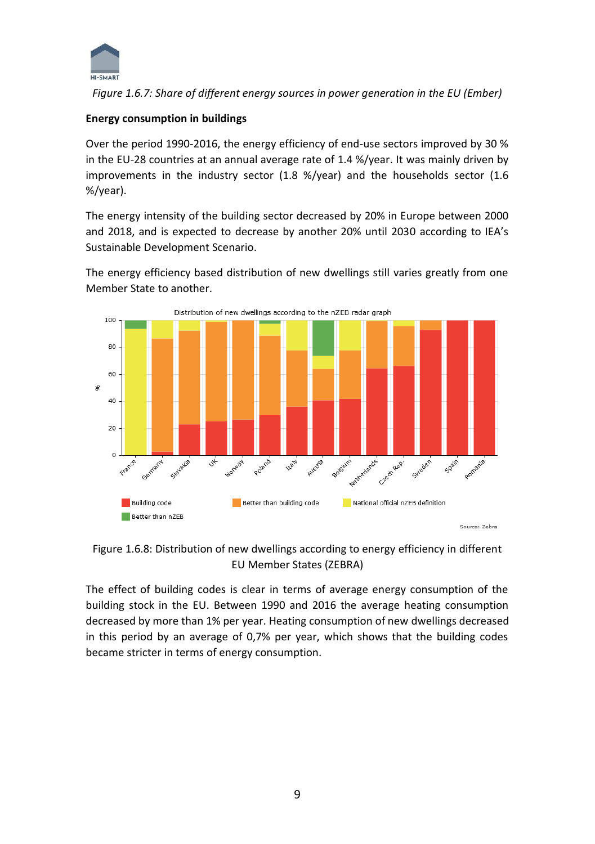

*Figure 1.6.7: Share of different energy sources in power generation in the EU (Ember)*

## **Energy consumption in buildings**

Over the period 1990-2016, the energy efficiency of end-use sectors improved by 30 % in the EU-28 countries at an annual average rate of 1.4 %/year. It was mainly driven by improvements in the industry sector (1.8 %/year) and the households sector (1.6 %/year).

The energy intensity of the building sector decreased by 20% in Europe between 2000 and 2018, and is expected to decrease by another 20% until 2030 according to IEA's Sustainable Development Scenario.

The energy efficiency based distribution of new dwellings still varies greatly from one Member State to another.



Figure 1.6.8: Distribution of new dwellings according to energy efficiency in different EU Member States (ZEBRA)

The effect of building codes is clear in terms of average energy consumption of the building stock in the EU. Between 1990 and 2016 the average heating consumption decreased by more than 1% per year. Heating consumption of new dwellings decreased in this period by an average of 0,7% per year, which shows that the building codes became stricter in terms of energy consumption.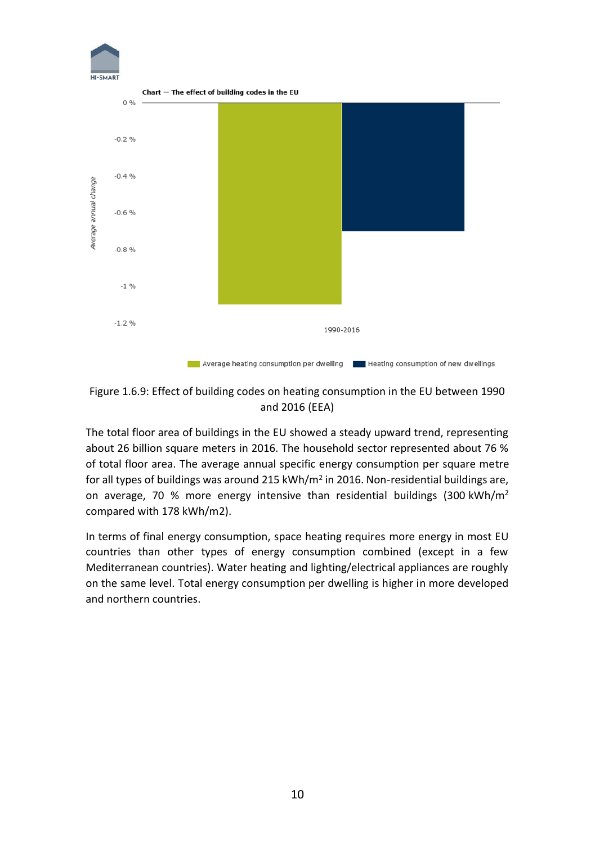

Figure 1.6.9: Effect of building codes on heating consumption in the EU between 1990 and 2016 (EEA)

The total floor area of buildings in the EU showed a steady upward trend, representing about 26 billion square meters in 2016. The household sector represented about 76 % of total floor area. The average annual specific energy consumption per square metre for all types of buildings was around 215 kWh/m<sup>2</sup> in 2016. Non-residential buildings are, on average, 70 % more energy intensive than residential buildings (300 kWh/m<sup>2</sup> compared with 178 kWh/m2).

In terms of final energy consumption, space heating requires more energy in most EU countries than other types of energy consumption combined (except in a few Mediterranean countries). Water heating and lighting/electrical appliances are roughly on the same level. Total energy consumption per dwelling is higher in more developed and northern countries.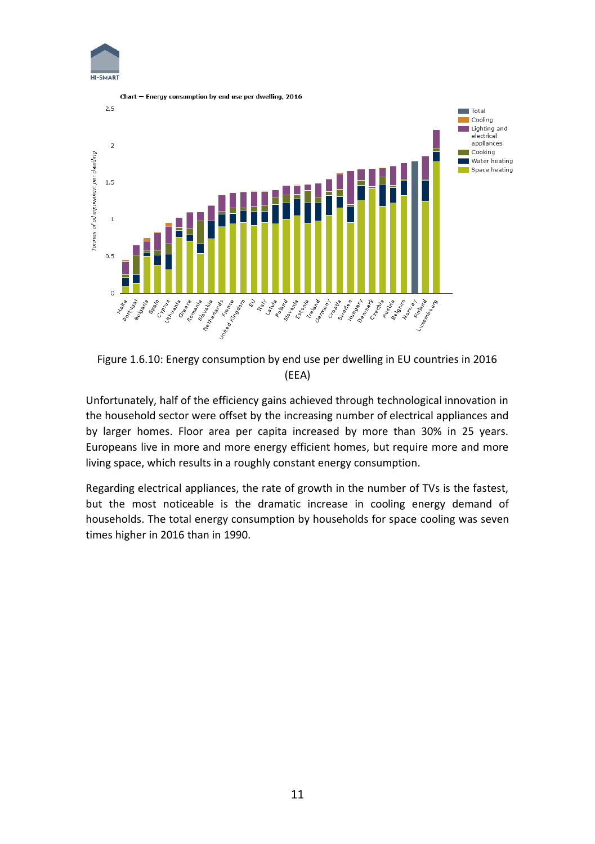



Figure 1.6.10: Energy consumption by end use per dwelling in EU countries in 2016 (EEA)

Unfortunately, half of the efficiency gains achieved through technological innovation in the household sector were offset by the increasing number of electrical appliances and by larger homes. Floor area per capita increased by more than 30% in 25 years. Europeans live in more and more energy efficient homes, but require more and more living space, which results in a roughly constant energy consumption.

Regarding electrical appliances, the rate of growth in the number of TVs is the fastest, but the most noticeable is the dramatic increase in cooling energy demand of households. The total energy consumption by households for space cooling was seven times higher in 2016 than in 1990.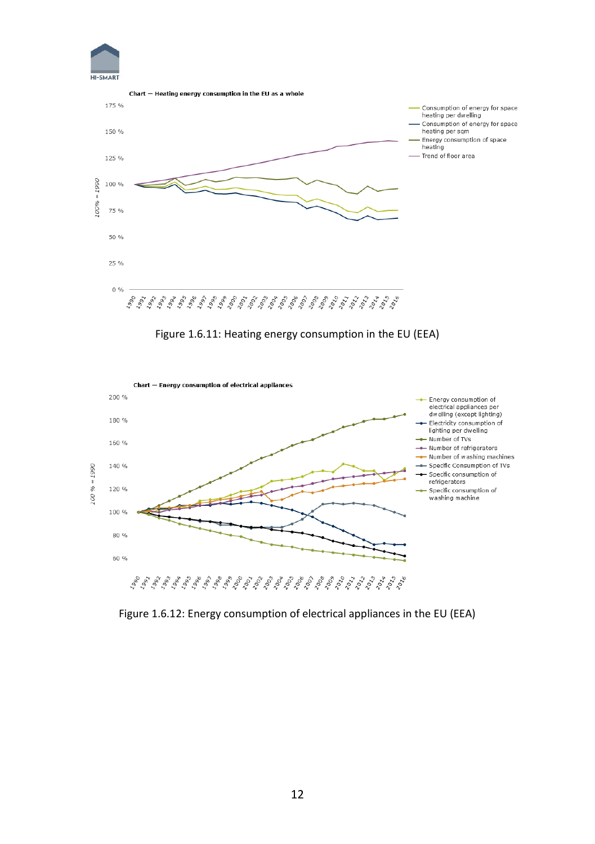



Figure 1.6.11: Heating energy consumption in the EU (EEA)



Figure 1.6.12: Energy consumption of electrical appliances in the EU (EEA)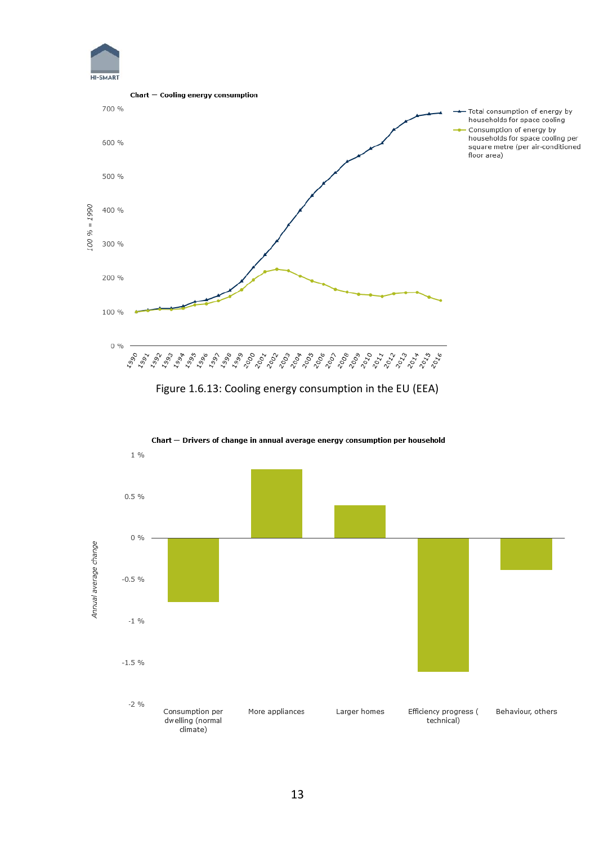



Figure 1.6.13: Cooling energy consumption in the EU (EEA)



Chart - Drivers of change in annual average energy consumption per household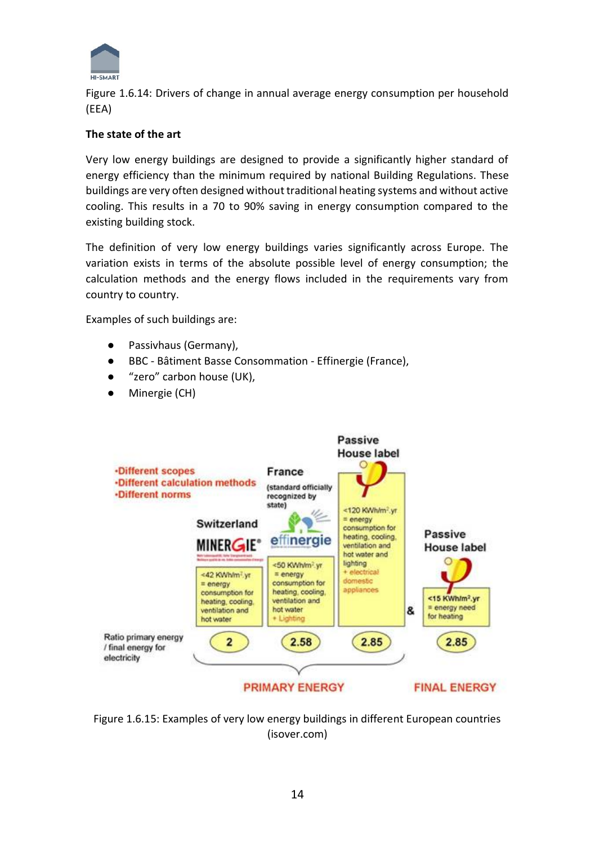

Figure 1.6.14: Drivers of change in annual average energy consumption per household (EEA)

## **The state of the art**

Very low energy buildings are designed to provide a significantly higher standard of energy efficiency than the minimum required by national Building Regulations. These buildings are very often designed without traditional heating systems and without active cooling. This results in a 70 to 90% saving in energy consumption compared to the existing building stock.

The definition of very low energy buildings varies significantly across Europe. The variation exists in terms of the absolute possible level of energy consumption; the calculation methods and the energy flows included in the requirements vary from country to country.

Examples of such buildings are:

- Passivhaus (Germany),
- BBC Bâtiment Basse Consommation Effinergie (France),
- "zero" carbon house (UK),
- Minergie (CH)



Figure 1.6.15: Examples of very low energy buildings in different European countries (isover.com)